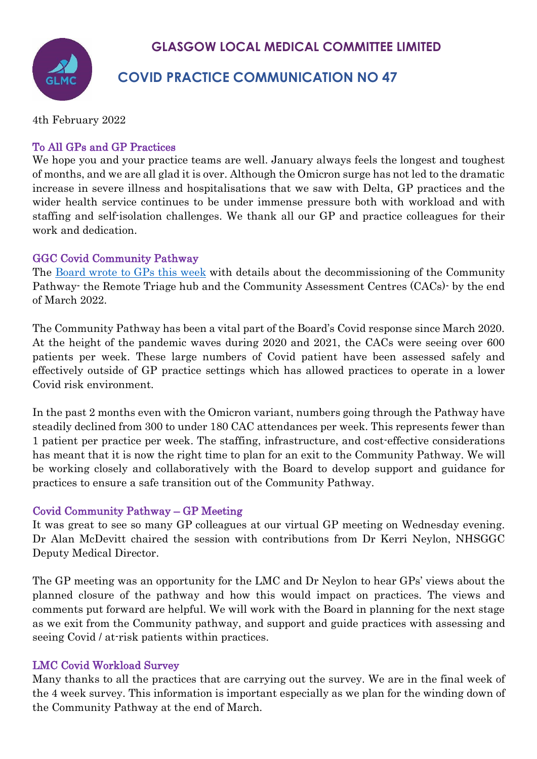## **GLASGOW LOCAL MEDICAL COMMITTEE LIMITED**

# **COVID PRACTICE COMMUNICATION NO 47**

4th February 2022

#### To All GPs and GP Practices

We hope you and your practice teams are well. January always feels the longest and toughest of months, and we are all glad it is over. Although the Omicron surge has not led to the dramatic increase in severe illness and hospitalisations that we saw with Delta, GP practices and the wider health service continues to be under immense pressure both with workload and with staffing and self-isolation challenges. We thank all our GP and practice colleagues for their work and dedication.

#### GGC Covid Community Pathway

The [Board wrote to GPs this week](https://www.glasgowlmc.co.uk/download/Links/test/2022/4_feb/Covid-Community-Pathway-Update-and-Changes.pdf) with details about the decommissioning of the Community Pathway- the Remote Triage hub and the Community Assessment Centres (CACs)- by the end of March 2022.

The Community Pathway has been a vital part of the Board's Covid response since March 2020. At the height of the pandemic waves during 2020 and 2021, the CACs were seeing over 600 patients per week. These large numbers of Covid patient have been assessed safely and effectively outside of GP practice settings which has allowed practices to operate in a lower Covid risk environment.

In the past 2 months even with the Omicron variant, numbers going through the Pathway have steadily declined from 300 to under 180 CAC attendances per week. This represents fewer than 1 patient per practice per week. The staffing, infrastructure, and cost-effective considerations has meant that it is now the right time to plan for an exit to the Community Pathway. We will be working closely and collaboratively with the Board to develop support and guidance for practices to ensure a safe transition out of the Community Pathway.

#### Covid Community Pathway – GP Meeting

It was great to see so many GP colleagues at our virtual GP meeting on Wednesday evening. Dr Alan McDevitt chaired the session with contributions from Dr Kerri Neylon, NHSGGC Deputy Medical Director.

The GP meeting was an opportunity for the LMC and Dr Neylon to hear GPs' views about the planned closure of the pathway and how this would impact on practices. The views and comments put forward are helpful. We will work with the Board in planning for the next stage as we exit from the Community pathway, and support and guide practices with assessing and seeing Covid / at-risk patients within practices.

### LMC Covid Workload Survey

Many thanks to all the practices that are carrying out the survey. We are in the final week of the 4 week survey. This information is important especially as we plan for the winding down of the Community Pathway at the end of March.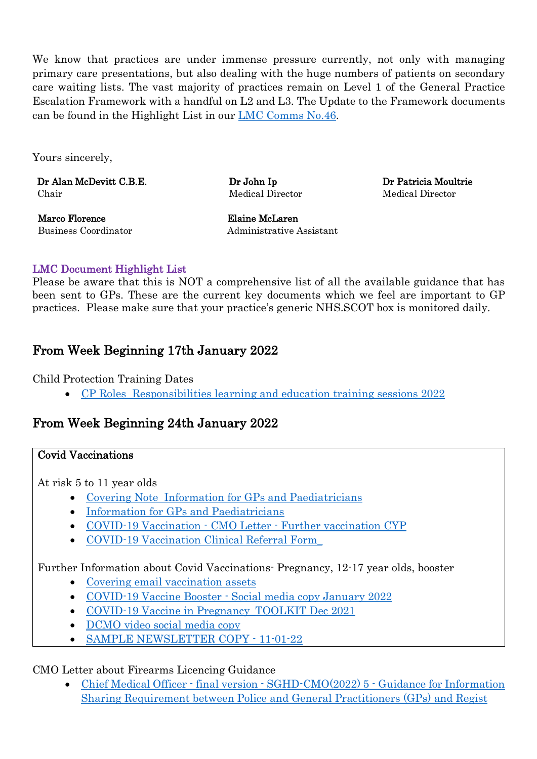We know that practices are under immense pressure currently, not only with managing primary care presentations, but also dealing with the huge numbers of patients on secondary care waiting lists. The vast majority of practices remain on Level 1 of the General Practice Escalation Framework with a handful on L2 and L3. The Update to the Framework documents can be found in the Highlight List in our [LMC Comms No.46.](https://www.glasgowlmc.co.uk/wp-content/uploads/2022/01/14-January-2022-Covid-LMC-GP-Practice-communication-No-46.pdf)

Yours sincerely,

Dr Alan McDevitt C.B.E. Chair

Dr John Ip Medical Director Dr Patricia Moultrie Medical Director

Marco Florence Elaine McLaren

Business Coordinator Administrative Assistant

#### LMC Document Highlight List

Please be aware that this is NOT a comprehensive list of all the available guidance that has been sent to GPs. These are the current key documents which we feel are important to GP practices. Please make sure that your practice's generic NHS.SCOT box is monitored daily.

## From Week Beginning 17th January 2022

Child Protection Training Dates

• [CP Roles Responsibilities learning and education training sessions 2022](https://www.glasgowlmc.co.uk/download/Links/test/2022/4_feb/CP-Roles-Responsibilities-learning-and-education-training-sessions-2022.doc)

## From Week Beginning 24th January 2022

#### Covid Vaccinations

At risk 5 to 11 year olds

- [Covering Note Information for GPs and Paediatricians](https://www.glasgowlmc.co.uk/download/Links/test/2022/4_feb/Covering-Note-Information-for-GPs-and-Paediatricians.doc)
- [Information for GPs and Paediatricians](https://www.glasgowlmc.co.uk/download/Links/test/2022/4_feb/Information-for-GPs-and-Paediatricians.docx)
- COVID-19 Vaccination CMO Letter [Further vaccination CYP](https://www.glasgowlmc.co.uk/download/Links/test/2022/4_feb/COVID-19-Vaccination-CMO-Letter-Further-vaccination-CYP.PDF)
- [COVID-19 Vaccination Clinical Referral Form\\_](https://www.glasgowlmc.co.uk/download/Links/test/2022/4_feb/COVID-19-Vaccination-Clinical-Referral-Form_.docx)

### Further Information about Covid Vaccinations- Pregnancy, 12-17 year olds, booster

- [Covering email vaccination assets](https://www.glasgowlmc.co.uk/download/Links/test/2022/4_feb/Covering-email-vaccination-assets.doc)
- COVID-19 Vaccine Booster [Social media copy January 2022](https://www.glasgowlmc.co.uk/download/Links/test/2022/4_feb/COVID-19-Vaccine-Booster-Social-media-copy-January-2022.pdf)
- COVID-19 Vaccine in Pregnancy TOOLKIT Dec 2021
- [DCMO video social media copy](https://www.glasgowlmc.co.uk/download/Links/test/2022/4_feb/DCMO-video-social-media-copy-.pdf)
- [SAMPLE NEWSLETTER COPY -](https://www.glasgowlmc.co.uk/download/Links/test/2022/4_feb/SAMPLE-NEWSLETTER-COPY-11-01-22.docx) 11-01-22

### CMO Letter about Firearms Licencing Guidance

• Chief Medical Officer - final version - SGHD-CMO(2022) 5 - Guidance for Information [Sharing Requirement between Police and General Practitioners \(GPs\) and Regist](https://www.glasgowlmc.co.uk/download/Links/test/2022/4_feb/Chief-Medical-Officer-final-version-SGHD-CMO2022-5-Guidance-for-Information-Sharing-Requirement-between-Police-and-General-Practitioners-GPs-and-Regist.pdf)